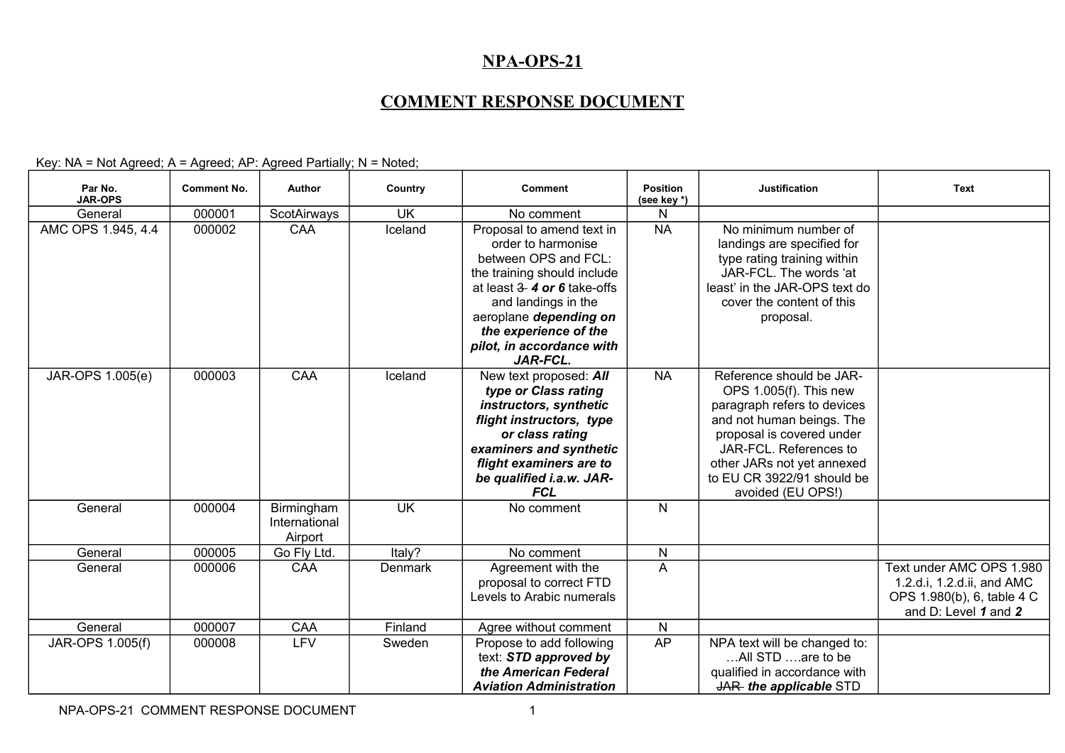## **NPA-OPS-21**

## **COMMENT RESPONSE DOCUMENT**

Key: NA = Not Agreed; A = Agreed; AP: Agreed Partially; N = Noted;

| Par No.<br><b>JAR-OPS</b> | <b>Comment No.</b> | <b>Author</b>                          | Country        | <b>Comment</b>                                                                                                                                                                                                                                                      | <b>Position</b><br>(see key *) | <b>Justification</b>                                                                                                                                                                                                                                   | <b>Text</b>                                                                                                  |
|---------------------------|--------------------|----------------------------------------|----------------|---------------------------------------------------------------------------------------------------------------------------------------------------------------------------------------------------------------------------------------------------------------------|--------------------------------|--------------------------------------------------------------------------------------------------------------------------------------------------------------------------------------------------------------------------------------------------------|--------------------------------------------------------------------------------------------------------------|
| General                   | 000001             | ScotAirways                            | <b>UK</b>      | No comment                                                                                                                                                                                                                                                          | N                              |                                                                                                                                                                                                                                                        |                                                                                                              |
| AMC OPS 1.945, 4.4        | 000002             | CAA                                    | Iceland        | Proposal to amend text in<br>order to harmonise<br>between OPS and FCL:<br>the training should include<br>at least $3 - 4$ or 6 take-offs<br>and landings in the<br>aeroplane depending on<br>the experience of the<br>pilot, in accordance with<br><b>JAR-FCL.</b> | <b>NA</b>                      | No minimum number of<br>landings are specified for<br>type rating training within<br>JAR-FCL. The words 'at<br>least' in the JAR-OPS text do<br>cover the content of this<br>proposal.                                                                 |                                                                                                              |
| JAR-OPS 1.005(e)          | 000003             | CAA                                    | Iceland        | New text proposed: All<br>type or Class rating<br>instructors, synthetic<br>flight instructors, type<br>or class rating<br>examiners and synthetic<br>flight examiners are to<br>be qualified i.a.w. JAR-<br><b>FCL</b>                                             | <b>NA</b>                      | Reference should be JAR-<br>OPS 1.005(f). This new<br>paragraph refers to devices<br>and not human beings. The<br>proposal is covered under<br>JAR-FCL. References to<br>other JARs not yet annexed<br>to EU CR 3922/91 should be<br>avoided (EU OPS!) |                                                                                                              |
| General                   | 000004             | Birmingham<br>International<br>Airport | <b>UK</b>      | No comment                                                                                                                                                                                                                                                          | $\mathsf{N}$                   |                                                                                                                                                                                                                                                        |                                                                                                              |
| General                   | 000005             | Go Fly Ltd.                            | Italy?         | No comment                                                                                                                                                                                                                                                          | N                              |                                                                                                                                                                                                                                                        |                                                                                                              |
| General                   | 000006             | <b>CAA</b>                             | <b>Denmark</b> | Agreement with the<br>proposal to correct FTD<br>Levels to Arabic numerals                                                                                                                                                                                          | A                              |                                                                                                                                                                                                                                                        | Text under AMC OPS 1.980<br>1.2.d.i, 1.2.d.ii, and AMC<br>OPS 1.980(b), 6, table 4 C<br>and D: Level 1 and 2 |
| General                   | 000007             | <b>CAA</b>                             | Finland        | Agree without comment                                                                                                                                                                                                                                               | ${\sf N}$                      |                                                                                                                                                                                                                                                        |                                                                                                              |
| JAR-OPS 1.005(f)          | 000008             | LFV                                    | Sweden         | Propose to add following<br>text: STD approved by<br>the American Federal<br><b>Aviation Administration</b>                                                                                                                                                         | AP                             | NPA text will be changed to:<br>All STD are to be<br>qualified in accordance with<br>JAR-the applicable STD                                                                                                                                            |                                                                                                              |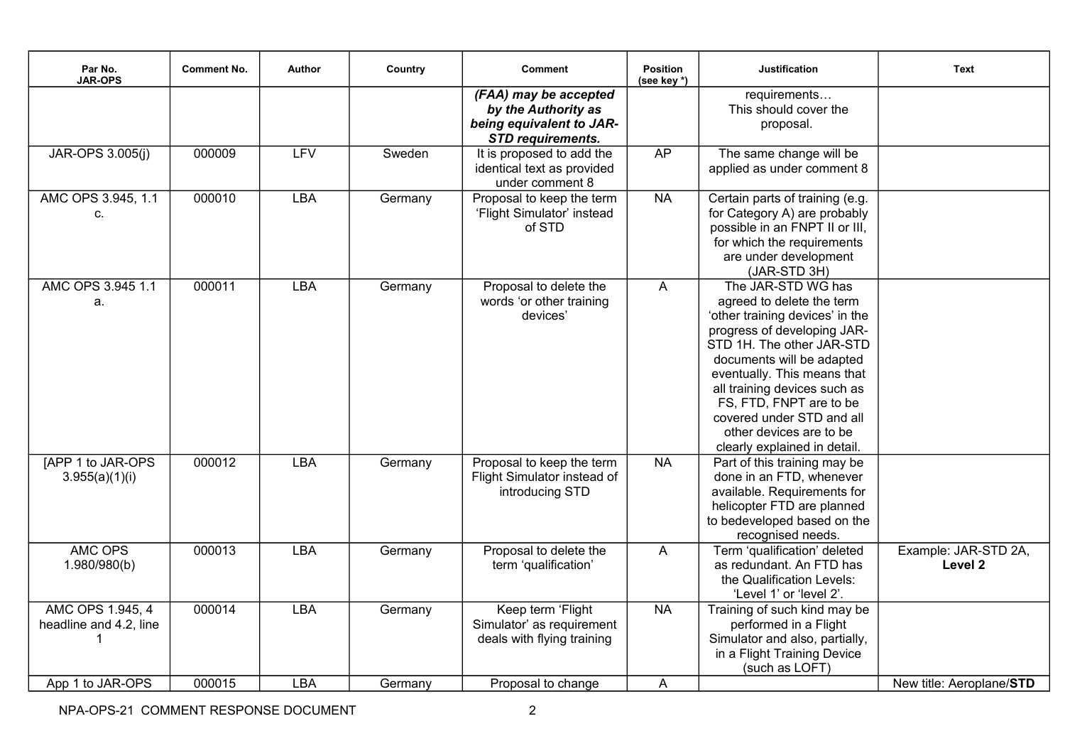| Par No.<br><b>JAR-OPS</b>                  | <b>Comment No.</b> | Author     | Country | <b>Comment</b>                                                                                       | <b>Position</b><br>(see key *) | <b>Justification</b>                                                                                                                                                                                                                                                                                                                                          | <b>Text</b>                     |
|--------------------------------------------|--------------------|------------|---------|------------------------------------------------------------------------------------------------------|--------------------------------|---------------------------------------------------------------------------------------------------------------------------------------------------------------------------------------------------------------------------------------------------------------------------------------------------------------------------------------------------------------|---------------------------------|
|                                            |                    |            |         | (FAA) may be accepted<br>by the Authority as<br>being equivalent to JAR-<br><b>STD requirements.</b> |                                | requirements<br>This should cover the<br>proposal.                                                                                                                                                                                                                                                                                                            |                                 |
| JAR-OPS 3.005(j)                           | 000009             | <b>LFV</b> | Sweden  | It is proposed to add the<br>identical text as provided<br>under comment 8                           | AP                             | The same change will be<br>applied as under comment 8                                                                                                                                                                                                                                                                                                         |                                 |
| AMC OPS 3.945, 1.1<br>c.                   | 000010             | <b>LBA</b> | Germany | Proposal to keep the term<br>'Flight Simulator' instead<br>of STD                                    | <b>NA</b>                      | Certain parts of training (e.g.<br>for Category A) are probably<br>possible in an FNPT II or III,<br>for which the requirements<br>are under development<br>(JAR-STD 3H)                                                                                                                                                                                      |                                 |
| AMC OPS 3.945 1.1<br>a.                    | 000011             | <b>LBA</b> | Germany | Proposal to delete the<br>words 'or other training<br>devices'                                       | $\overline{A}$                 | The JAR-STD WG has<br>agreed to delete the term<br>'other training devices' in the<br>progress of developing JAR-<br>STD 1H. The other JAR-STD<br>documents will be adapted<br>eventually. This means that<br>all training devices such as<br>FS, FTD, FNPT are to be<br>covered under STD and all<br>other devices are to be<br>clearly explained in detail. |                                 |
| [APP 1 to JAR-OPS]<br>3.955(a)(1)(i)       | 000012             | <b>LBA</b> | Germany | Proposal to keep the term<br>Flight Simulator instead of<br>introducing STD                          | <b>NA</b>                      | Part of this training may be<br>done in an FTD, whenever<br>available. Requirements for<br>helicopter FTD are planned<br>to bedeveloped based on the<br>recognised needs.                                                                                                                                                                                     |                                 |
| AMC OPS<br>1.980/980(b)                    | 000013             | <b>LBA</b> | Germany | Proposal to delete the<br>term 'qualification'                                                       | $\overline{A}$                 | Term 'qualification' deleted<br>as redundant. An FTD has<br>the Qualification Levels:<br>'Level 1' or 'level 2'.                                                                                                                                                                                                                                              | Example: JAR-STD 2A,<br>Level 2 |
| AMC OPS 1.945, 4<br>headline and 4.2, line | 000014             | LBA        | Germany | Keep term 'Flight<br>Simulator' as requirement<br>deals with flying training                         | <b>NA</b>                      | Training of such kind may be<br>performed in a Flight<br>Simulator and also, partially,<br>in a Flight Training Device<br>(such as LOFT)                                                                                                                                                                                                                      |                                 |
| App 1 to JAR-OPS                           | 000015             | <b>LBA</b> | Germany | Proposal to change                                                                                   | A                              |                                                                                                                                                                                                                                                                                                                                                               | New title: Aeroplane/STD        |

NPA-OPS-21 COMMENT RESPONSE DOCUMENT 2